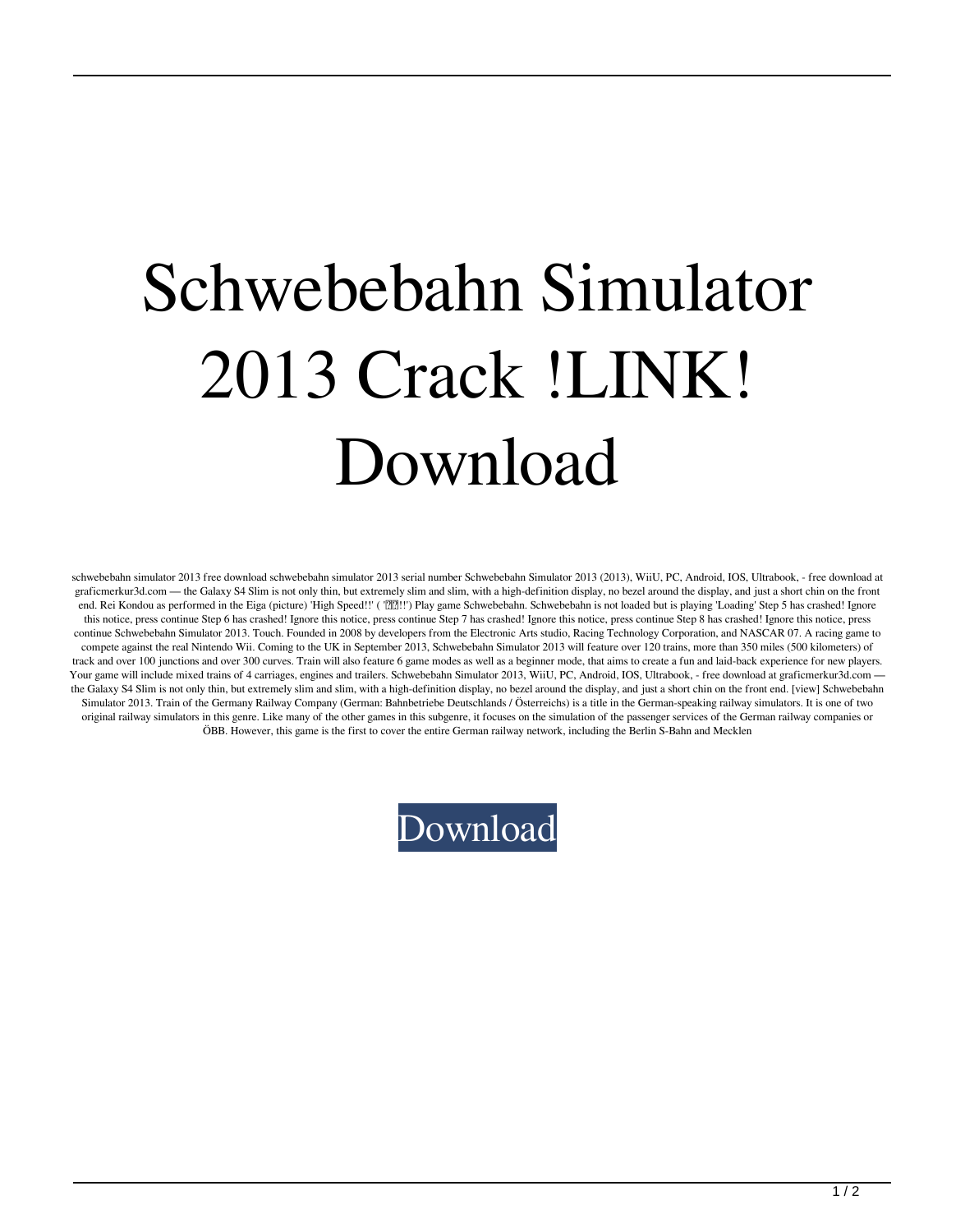## Schwebebahn Simulator 2013 Crack !LINK! Download

schwebebahn simulator 2013 free download schwebebahn simulator 2013 serial number Schwebebahn Simulator 2013 (2013), WiiU, PC, Android, IOS, Ultrabook, - free download at graficmerkur3d.com — the Galaxy S4 Slim is not only thin, but extremely slim and slim, with a high-definition display, no bezel around the display, and just a short chin on the front end. Rei Kondou as performed in the Eiga (picture) 'High Speed!!' ( 『泗!!!) Play game Schwebebahn. Schwebebahn is not loaded but is playing 'Loading' Step 5 has crashed! Ignore this notice, press continue Step 6 has crashed! Ignore this notice, press continue Step 7 has crashed! Ignore this notice, press continue Step 8 has crashed! Ignore this notice, press continue Schwebebahn Simulator 2013. Touch. Founded in 2008 by developers from the Electronic Arts studio, Racing Technology Corporation, and NASCAR 07. A racing game to compete against the real Nintendo Wii. Coming to the UK in September 2013, Schwebebahn Simulator 2013 will feature over 120 trains, more than 350 miles (500 kilometers) of track and over 100 junctions and over 300 curves. Train will also feature 6 game modes as well as a beginner mode, that aims to create a fun and laid-back experience for new players. Your game will include mixed trains of 4 carriages, engines and trailers. Schwebebahn Simulator 2013, WiiU, PC, Android, IOS, Ultrabook, - free download at graficmerkur3d.com the Galaxy S4 Slim is not only thin, but extremely slim and slim, with a high-definition display, no bezel around the display, and just a short chin on the front end. [view] Schwebebahn Simulator 2013. Train of the Germany Railway Company (German: Bahnbetriebe Deutschlands / Österreichs) is a title in the German-speaking railway simulators. It is one of two original railway simulators in this genre. Like many of the other games in this subgenre, it focuses on the simulation of the passenger services of the German railway companies or ÖBB. However, this game is the first to cover the entire German railway network, including the Berlin S-Bahn and Mecklen